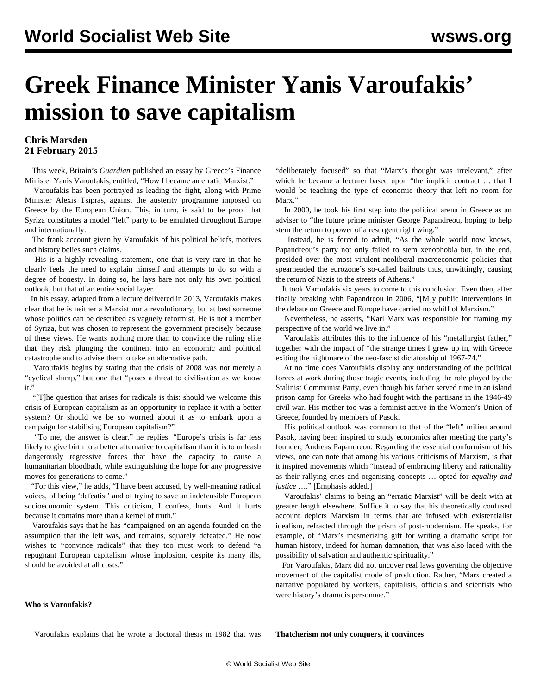# **Greek Finance Minister Yanis Varoufakis' mission to save capitalism**

## **Chris Marsden 21 February 2015**

 This week, Britain's *Guardian* published an essay by Greece's Finance Minister Yanis Varoufakis, entitled, "How I became an erratic Marxist."

 Varoufakis has been portrayed as leading the fight, along with Prime Minister Alexis Tsipras, against the austerity programme imposed on Greece by the European Union. This, in turn, is said to be proof that Syriza constitutes a model "left" party to be emulated throughout Europe and internationally.

 The frank account given by Varoufakis of his political beliefs, motives and history belies such claims.

 His is a highly revealing statement, one that is very rare in that he clearly feels the need to explain himself and attempts to do so with a degree of honesty. In doing so, he lays bare not only his own political outlook, but that of an entire social layer.

 In his [essay](http://www.theguardian.com/news/2015/feb/18/yanis-varoufakis-how-i-became-an-erratic-marxist), adapted from a lecture delivered in 2013, Varoufakis makes clear that he is neither a Marxist nor a revolutionary, but at best someone whose politics can be described as vaguely reformist. He is not a member of Syriza, but was chosen to represent the government precisely because of these views. He wants nothing more than to convince the ruling elite that they risk plunging the continent into an economic and political catastrophe and to advise them to take an alternative path.

 Varoufakis begins by stating that the crisis of 2008 was not merely a "cyclical slump," but one that "poses a threat to civilisation as we know it."

 "[T]he question that arises for radicals is this: should we welcome this crisis of European capitalism as an opportunity to replace it with a better system? Or should we be so worried about it as to embark upon a campaign for stabilising European capitalism?"

 "To me, the answer is clear," he replies. "Europe's crisis is far less likely to give birth to a better alternative to capitalism than it is to unleash dangerously regressive forces that have the capacity to cause a humanitarian bloodbath, while extinguishing the hope for any progressive moves for generations to come."

 "For this view," he adds, "I have been accused, by well-meaning radical voices, of being 'defeatist' and of trying to save an indefensible European socioeconomic system. This criticism, I confess, hurts. And it hurts because it contains more than a kernel of truth."

 Varoufakis says that he has "campaigned on an agenda founded on the assumption that the left was, and remains, squarely defeated." He now wishes to "convince radicals" that they too must work to defend "a repugnant European capitalism whose implosion, despite its many ills, should be avoided at all costs."

"deliberately focused" so that "Marx's thought was irrelevant," after which he became a lecturer based upon "the implicit contract … that I would be teaching the type of economic theory that left no room for Marx."

 In 2000, he took his first step into the political arena in Greece as an adviser to "the future prime minister George Papandreou, hoping to help stem the return to power of a resurgent right wing."

 Instead, he is forced to admit, "As the whole world now knows, Papandreou's party not only failed to stem xenophobia but, in the end, presided over the most virulent neoliberal macroeconomic policies that spearheaded the eurozone's so-called bailouts thus, unwittingly, causing the return of Nazis to the streets of Athens."

 It took Varoufakis six years to come to this conclusion. Even then, after finally breaking with Papandreou in 2006, "[M]y public interventions in the debate on Greece and Europe have carried no whiff of Marxism."

 Nevertheless, he asserts, "Karl Marx was responsible for framing my perspective of the world we live in."

 Varoufakis attributes this to the influence of his "metallurgist father," together with the impact of "the strange times I grew up in, with Greece exiting the nightmare of the neo-fascist dictatorship of 1967-74."

 At no time does Varoufakis display any understanding of the political forces at work during those tragic events, including the role played by the Stalinist Communist Party, even though his father served time in an island prison camp for Greeks who had fought with the partisans in the 1946-49 civil war. His mother too was a feminist active in the Women's Union of Greece, founded by members of Pasok.

 His political outlook was common to that of the "left" milieu around Pasok, having been inspired to study economics after meeting the party's founder, Andreas Papandreou. Regarding the essential conformism of his views, one can note that among his various criticisms of Marxism, is that it inspired movements which "instead of embracing liberty and rationality as their rallying cries and organising concepts … opted for *equality and justice* …." [Emphasis added.]

 Varoufakis' claims to being an "erratic Marxist" will be dealt with at greater length elsewhere. Suffice it to say that his theoretically confused account depicts Marxism in terms that are infused with existentialist idealism, refracted through the prism of post-modernism. He speaks, for example, of "Marx's mesmerizing gift for writing a dramatic script for human history, indeed for human damnation, that was also laced with the possibility of salvation and authentic spirituality."

 For Varoufakis, Marx did not uncover real laws governing the objective movement of the capitalist mode of production. Rather, "Marx created a narrative populated by workers, capitalists, officials and scientists who were history's dramatis personnae."

## **Who is Varoufakis?**

Varoufakis explains that he wrote a doctoral thesis in 1982 that was

**Thatcherism not only conquers, it convinces**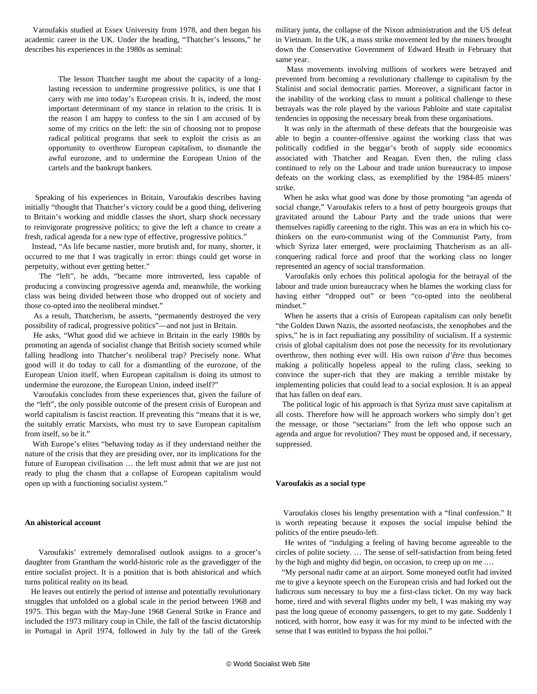Varoufakis studied at Essex University from 1978, and then began his academic career in the UK. Under the heading, "Thatcher's lessons," he describes his experiences in the 1980s as seminal:

> The lesson Thatcher taught me about the capacity of a longlasting recession to undermine progressive politics, is one that I carry with me into today's European crisis. It is, indeed, the most important determinant of my stance in relation to the crisis. It is the reason I am happy to confess to the sin I am accused of by some of my critics on the left: the sin of choosing not to propose radical political programs that seek to exploit the crisis as an opportunity to overthrow European capitalism, to dismantle the awful eurozone, and to undermine the European Union of the cartels and the bankrupt bankers.

 Speaking of his experiences in Britain, Varoufakis describes having initially "thought that Thatcher's victory could be a good thing, delivering to Britain's working and middle classes the short, sharp shock necessary to reinvigorate progressive politics; to give the left a chance to create a fresh, radical agenda for a new type of effective, progressive politics."

 Instead, "As life became nastier, more brutish and, for many, shorter, it occurred to me that I was tragically in error: things could get worse in perpetuity, without ever getting better."

 The "left", he adds, "became more introverted, less capable of producing a convincing progressive agenda and, meanwhile, the working class was being divided between those who dropped out of society and those co-opted into the neoliberal mindset."

 As a result, Thatcherism, he asserts, "permanently destroyed the very possibility of radical, progressive politics"—and not just in Britain.

 He asks, "What good did we achieve in Britain in the early 1980s by promoting an agenda of socialist change that British society scorned while falling headlong into Thatcher's neoliberal trap? Precisely none. What good will it do today to call for a dismantling of the eurozone, of the European Union itself, when European capitalism is doing its utmost to undermine the eurozone, the European Union, indeed itself?"

 Varoufakis concludes from these experiences that, given the failure of the "left", the only possible outcome of the present crisis of European and world capitalism is fascist reaction. If preventing this "means that it is we, the suitably erratic Marxists, who must try to save European capitalism from itself, so be it."

 With Europe's elites "behaving today as if they understand neither the nature of the crisis that they are presiding over, nor its implications for the future of European civilisation … the left must admit that we are just not ready to plug the chasm that a collapse of European capitalism would open up with a functioning socialist system."

### **An ahistorical account**

 Varoufakis' extremely demoralised outlook assigns to a grocer's daughter from Grantham the world-historic role as the gravedigger of the entire socialist project. It is a position that is both ahistorical and which turns political reality on its head.

 He leaves out entirely the period of intense and potentially revolutionary struggles that unfolded on a global scale in the period between 1968 and 1975. This began with the May-June 1968 General Strike in France and included the 1973 military coup in Chile, the fall of the fascist dictatorship in Portugal in April 1974, followed in July by the fall of the Greek military junta, the collapse of the Nixon administration and the US defeat in Vietnam. In the UK, a mass strike movement led by the miners brought down the Conservative Government of Edward Heath in February that same year.

 Mass movements involving millions of workers were betrayed and prevented from becoming a revolutionary challenge to capitalism by the Stalinist and social democratic parties. Moreover, a significant factor in the inability of the working class to mount a political challenge to these betrayals was the role played by the various Pabloite and state capitalist tendencies in opposing the necessary break from these organisations.

 It was only in the aftermath of these defeats that the bourgeoisie was able to begin a counter-offensive against the working class that was politically codified in the beggar's broth of supply side economics associated with Thatcher and Reagan. Even then, the ruling class continued to rely on the Labour and trade union bureaucracy to impose defeats on the working class, as exemplified by the 1984-85 miners' strike.

 When he asks what good was done by those promoting "an agenda of social change," Varoufakis refers to a host of petty bourgeois groups that gravitated around the Labour Party and the trade unions that were themselves rapidly careening to the right. This was an era in which his cothinkers on the euro-communist wing of the Communist Party, from which Syriza later emerged, were proclaiming Thatcherism as an allconquering radical force and proof that the working class no longer represented an agency of social transformation.

 Varoufakis only echoes this political apologia for the betrayal of the labour and trade union bureaucracy when he blames the working class for having either "dropped out" or been "co-opted into the neoliberal mindset."

 When he asserts that a crisis of European capitalism can only benefit "the Golden Dawn Nazis, the assorted neofascists, the xenophobes and the spivs," he is in fact repudiating any possibility of socialism. If a systemic crisis of global capitalism does not pose the necessity for its revolutionary overthrow, then nothing ever will. His own *raison d'être* thus becomes making a politically hopeless appeal to the ruling class, seeking to convince the super-rich that they are making a terrible mistake by implementing policies that could lead to a social explosion. It is an appeal that has fallen on deaf ears.

 The political logic of his approach is that Syriza must save capitalism at all costs. Therefore how will he approach workers who simply don't get the message, or those "sectarians" from the left who oppose such an agenda and argue for revolution? They must be opposed and, if necessary, suppressed.

#### **Varoufakis as a social type**

 Varoufakis closes his lengthy presentation with a "final confession." It is worth repeating because it exposes the social impulse behind the politics of the entire pseudo-left.

 He writes of "indulging a feeling of having become agreeable to the circles of polite society. … The sense of self-satisfaction from being feted by the high and mighty did begin, on occasion, to creep up on me .…

 "My personal nadir came at an airport. Some moneyed outfit had invited me to give a keynote speech on the European crisis and had forked out the ludicrous sum necessary to buy me a first-class ticket. On my way back home, tired and with several flights under my belt, I was making my way past the long queue of economy passengers, to get to my gate. Suddenly I noticed, with horror, how easy it was for my mind to be infected with the sense that I was entitled to bypass the hoi polloi."